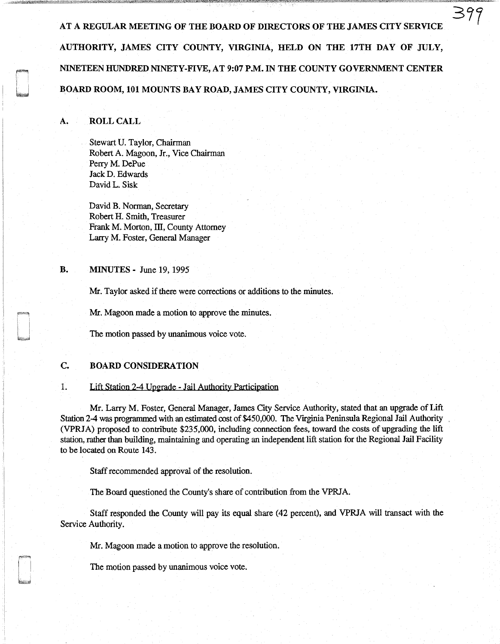AT A REGULAR MEETING OF THE BOARD OF DIRECTORS OF THE JAMES CITY SERVICE AUTHORITY, JAMES CITY COUNTY, VIRGINIA, HELD ON THE 17TH DAY OF JULY, NINETEEN HUNDRED NINETY-FIVE, AT 9:07 P.M. IN THE COUNTY GOVERNMENT CENTER BOARD ROOM, 101 MOUNTS BAY ROAD, JAMES CITY COUNTY, VIRGINIA.

## A. ROLL CALL

Stewart U. Taylor, Chairman Robert A. Magoon, Jr., Vice Chairman Perry M. DePue Jack D. Edwards David L. Sisk

David B. Norman, Secretary Robert H. Smith, Treasurer Frank M. Morton, III, County Attorney Larry M. Foster, General Manager

# **B. MINUTES** - June 19, 1995

Mr. Taylor asked if there were corrections or additions to the minutes.

Mr. Magoon made a motion to approve the minutes.

The motion passed by unanimous voice vote.

## C. BOARD CONSIDERATION

#### 1. Lift Station 2-4 Upgrade - Jail Authority Participation

Mr. Larry M. Foster, General Manager, James City Service Authority, stated that an upgrade of Lift Station 2-4 was programmed with an estimated cost of \$450,000. The Virginia Peninsula Regional Jail Authority (VPRJA) proposed to contribute \$235,000, including connection fees, toward the costs of upgrading the lift station, rather than building, maintaining and operating an independent lift station for the Regional Jail Facility to be located on Route 143.

Staff recommended approval of the resolution.

The Board questioned the County's share of contribution from the VPRJA.

Staff responded the County will pay its equal share (42 percent), and VPRJA will transact with the Service Authority.

Mr. Magoon made a motion to approve the resolution.

The motion passed by unanimous voice vote.